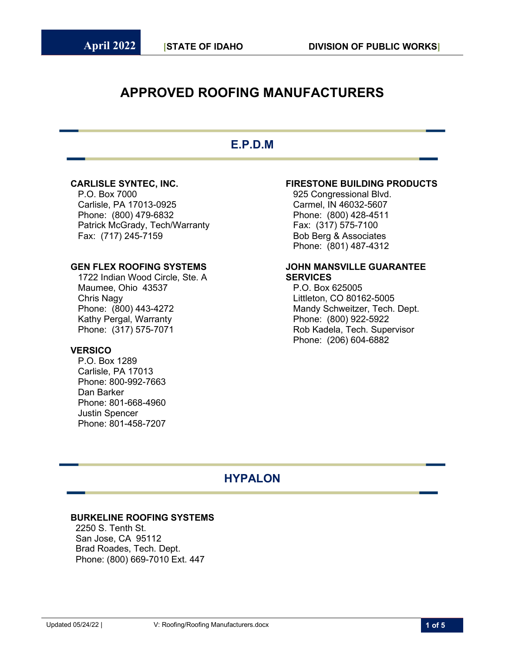# **APPROVED ROOFING MANUFACTURERS**

# **E.P.D.M**

P.O. Box 7000 925 Congressional Blvd. Carlisle, PA 17013-0925 Carmel, IN 46032-5607 Phone: (800) 479-6832 Phone: (800) 428-4511 Patrick McGrady, Tech/Warranty Fax: (317) 575-7100

1722 Indian Wood Circle, Ste. A **SERVICES** Maumee, Ohio 43537 **P.O. Box 625005** Chris Nagy Littleton, CO 80162-5005 Phone: (800) 443-4272 Mandy Schweitzer, Tech. Dept.<br>Kathy Pergal, Warranty Mandy Schweitzer, 1990) 922-5922 Phone: (317) 575-7071 Rob Kadela, Tech. Supervisor

### **VERSICO**

P.O. Box 1289 Carlisle, PA 17013 Phone: 800-992-7663 Dan Barker Phone: 801-668-4960 Justin Spencer Phone: 801-458-7207

### **CARLISLE SYNTEC, INC. FIRESTONE BUILDING PRODUCTS**

Bob Berg & Associates Phone: (801) 487-4312

# **GEN FLEX ROOFING SYSTEMS JOHN MANSVILLE GUARANTEE**

Phone: (800) 922-5922 Phone: (206) 604-6882

## **HYPALON**

### **BURKELINE ROOFING SYSTEMS**

 2250 S. Tenth St. San Jose, CA 95112 Brad Roades, Tech. Dept. Phone: (800) 669-7010 Ext. 447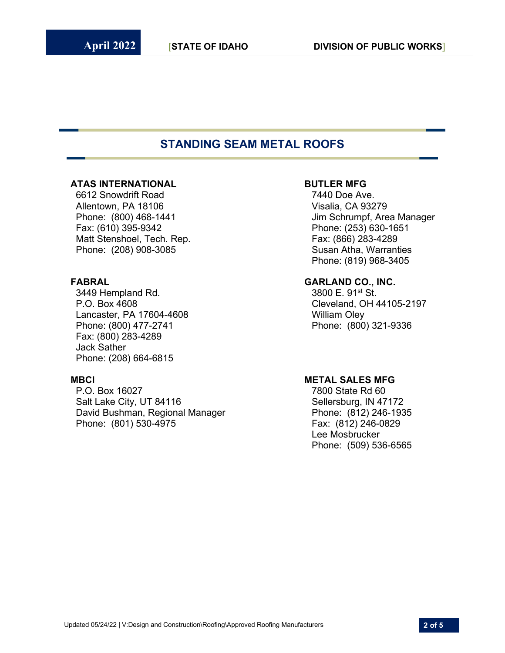## **STANDING SEAM METAL ROOFS**

### **ATAS INTERNATIONAL BUTLER MFG**

 6612 Snowdrift Road 7440 Doe Ave. Allentown, PA 18106 **Visalia, CA 93279**  Fax: (610) 395-9342 Phone: (253) 630-1651 Matt Stenshoel, Tech. Rep. Fax: (866) 283-4289 Phone: (208) 908-3085

3449 Hempland Rd. Lancaster, PA 17604-4608 William Oley Phone: (800) 477-2741 Phone: (800) 321-9336 Fax: (800) 283-4289 Jack Sather Phone: (208) 664-6815

**MBCI MBCI METAL SALES MFG**<br>P.O. Box 16027 **1800 18027** 1800 **120** Salt Lake City, UT 84116 Sellersburg, IN 47172 David Bushman, Regional Manager Phone: (812) 246-1935 Phone: (801) 530-4975 Fax: (812) 246-0829

Phone: (800) 468-1441 **Jim Schrumpf, Area Manager** Phone: (819) 968-3405

# **FABRAL GARLAND CO., INC.**

P.O. Box 4608 Cleveland, OH 44105-2197

7800 State Rd 60 Lee Mosbrucker Phone: (509) 536-6565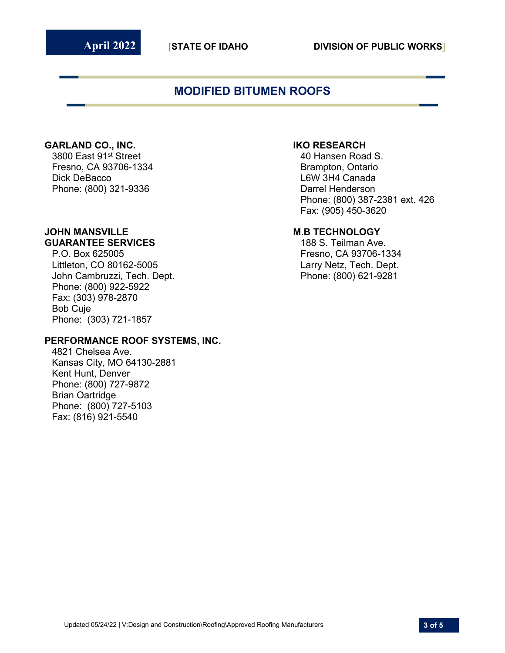# **MODIFIED BITUMEN ROOFS**

### **GARLAND CO., INC. IKO RESEARCH**

3800 East 91st Street 40 Hansen Road S. Fresno, CA 93706-1334 Brampton, Ontario Dick DeBacco L6W 3H4 Canada Phone: (800) 321-9336 Darrel Henderson

# **JOHN MANSVILLE M.B TECHNOLOGY**

Littleton, CO 80162-5005 Larry Netz, Tech. Dept. John Cambruzzi, Tech. Dept. **Phone: (800) 621-9281** Phone: (800) 922-5922 Fax: (303) 978-2870 Bob Cuje Phone: (303) 721-1857

### **PERFORMANCE ROOF SYSTEMS, INC.**

4821 Chelsea Ave. Kansas City, MO 64130-2881 Kent Hunt, Denver Phone: (800) 727-9872 Brian Oartridge Phone: (800) 727-5103 Fax: (816) 921-5540

Phone: (800) 387-2381 ext. 426 Fax: (905) 450-3620

**GUARANTEE SERVICES**<br>188 S. Teilman Ave.<br>1: Fresno, CA 93706-1 Fresno, CA 93706-1334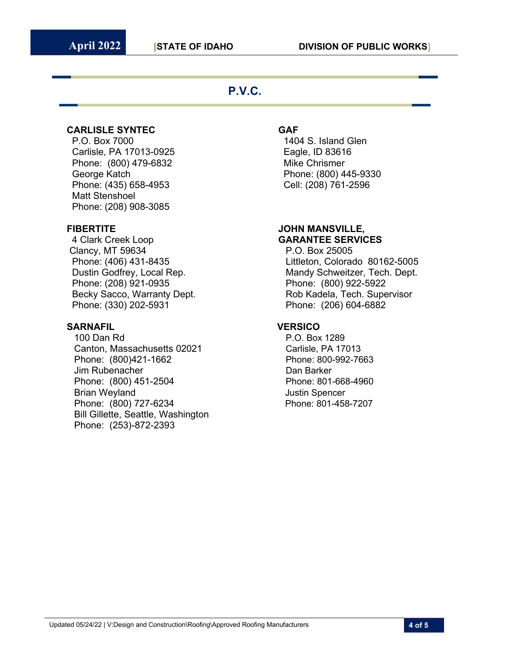## **P.V.C.**

### **CARLISLE SYNTEC GAF**

 P.O. Box 7000 1404 S. Island Glen Carlisle, PA 17013-0925 Eagle, ID 83616 Phone: (800) 479-6832 Mike Chrismer George Katch Phone: (800) 445-9330 Phone: (435) 658-4953 Cell: (208) 761-2596 Matt Stenshoel Phone: (208) 908-3085

Clancy, MT 59634 **P.O. Box 25005**  Phone: (208) 921-0935 Phone: (800) 922-5922 Phone: (330) 202-5931 Phone: (206) 604-6882

### **SARNAFIL VERSICO**

100 Dan Rd **P.O. Box 1289** Canton, Massachusetts 02021 Carlisle, PA 17013 Phone: (800)421-1662 Phone: 800-992-7663 Jim Rubenacher **Dan Barker** Dan Barker Phone: (800) 451-2504 Phone: 801-668-4960 **Brian Weyland Communist Communist Spencer** Spencer Phone: (800) 727-6234 Phone: 801-458-7207 Bill Gillette, Seattle, Washington Phone: (253)-872-2393

### **FIBERTITE JOHN MANSVILLE,**  4 Clark Creek Loop **GARANTEE SERVICES**

 Phone: (406) 431-8435 Littleton, Colorado 80162-5005 Dustin Godfrey, Local Rep. Mandy Schweitzer, Tech. Dept. Becky Sacco, Warranty Dept. The Rob Kadela, Tech. Supervisor